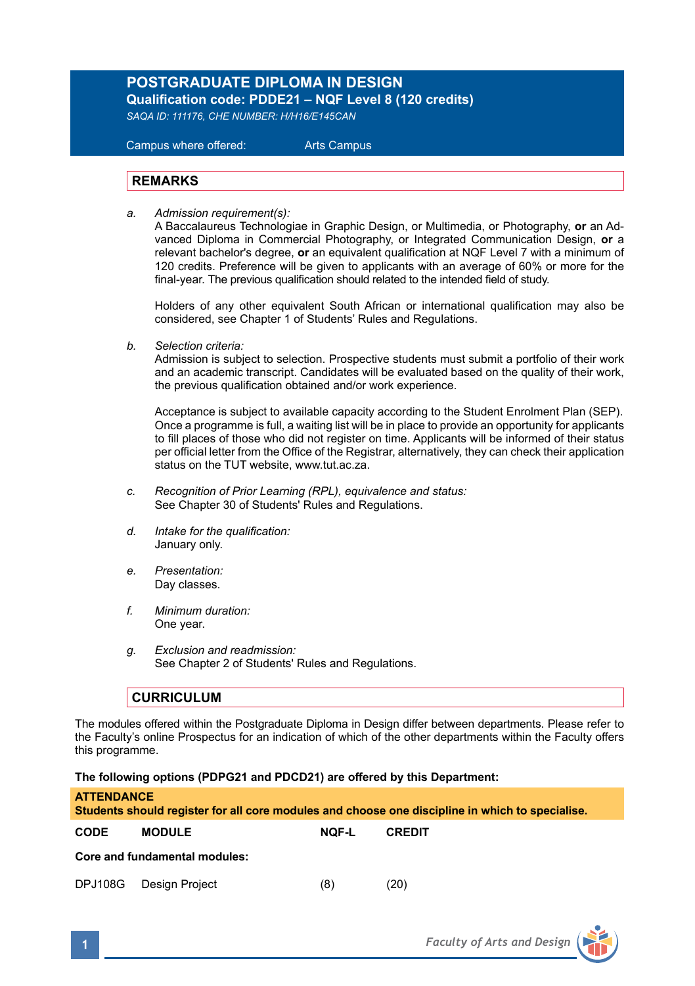# **POSTGRADUATE DIPLOMA IN DESIGN Qualification code: PDDE21 – NQF Level 8 (120 credits)**

*SAQA ID: 111176, CHE NUMBER: H/H16/E145CAN* 

 Campus where offered: Arts Campus

### **REMARKS**

*a. Admission requirement(s):* 

A Baccalaureus Technologiae in Graphic Design, or Multimedia, or Photography, **or** an Advanced Diploma in Commercial Photography, or Integrated Communication Design, **or** a relevant bachelor's degree, **or** an equivalent qualification at NQF Level 7 with a minimum of 120 credits. Preference will be given to applicants with an average of 60% or more for the final-year. The previous qualification should related to the intended field of study.

Holders of any other equivalent South African or international qualification may also be considered, see Chapter 1 of Students' Rules and Regulations.

*b. Selection criteria:*

Admission is subject to selection. Prospective students must submit a portfolio of their work and an academic transcript. Candidates will be evaluated based on the quality of their work, the previous qualification obtained and/or work experience.

 Acceptance is subject to available capacity according to the Student Enrolment Plan (SEP). Once a programme is full, a waiting list will be in place to provide an opportunity for applicants to fill places of those who did not register on time. Applicants will be informed of their status per official letter from the Office of the Registrar, alternatively, they can check their application status on the TUT website, www.tut.ac.za.

- *c. Recognition of Prior Learning (RPL), equivalence and status:* See Chapter 30 of Students' Rules and Regulations.
- *d. Intake for the qualification:* January only.
- *e. Presentation:* Day classes.
- *f. Minimum duration:* One year.
- *g. Exclusion and readmission:* See Chapter 2 of Students' Rules and Regulations.

### **CURRICULUM**

The modules offered within the Postgraduate Diploma in Design differ between departments. Please refer to the Faculty's online Prospectus for an indication of which of the other departments within the Faculty offers this programme.

**The following options (PDPG21 and PDCD21) are offered by this Department:** 

| ATTENDANCE<br>Students should register for all core modules and choose one discipline in which to specialise. |                        |              |               |  |  |  |  |
|---------------------------------------------------------------------------------------------------------------|------------------------|--------------|---------------|--|--|--|--|
| CODE                                                                                                          | <b>MODULE</b>          | <b>NOF-L</b> | <b>CREDIT</b> |  |  |  |  |
| Core and fundamental modules:                                                                                 |                        |              |               |  |  |  |  |
|                                                                                                               | DPJ108G Design Project | (8)          | (20)          |  |  |  |  |

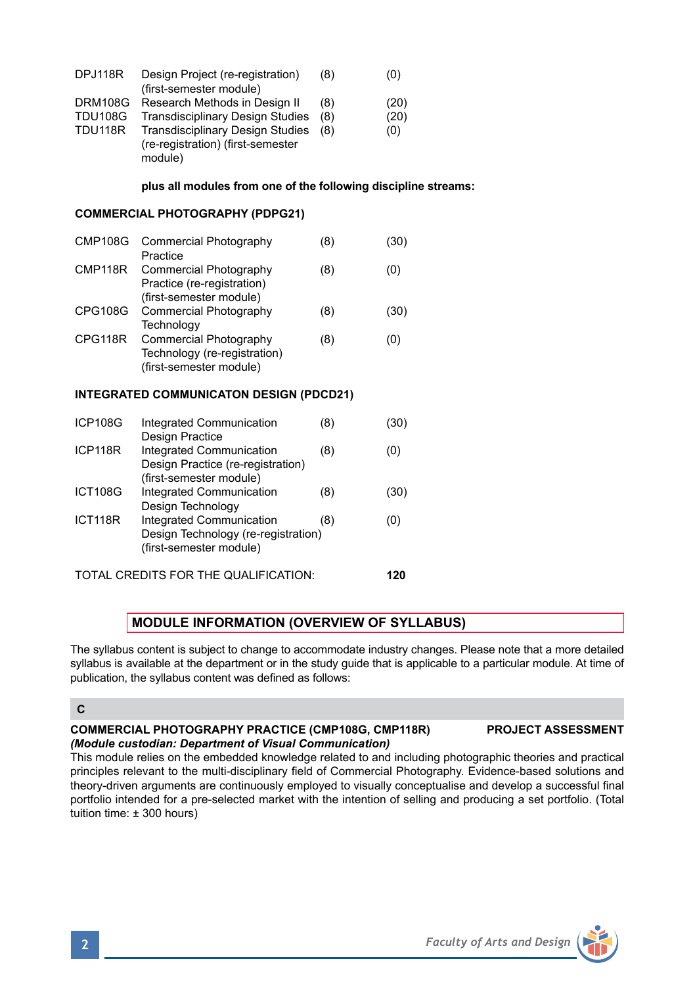|                                                                                                                                                  | module)                                                                                                                                                                                                                                                                                         |     |      |  |  |  |  |
|--------------------------------------------------------------------------------------------------------------------------------------------------|-------------------------------------------------------------------------------------------------------------------------------------------------------------------------------------------------------------------------------------------------------------------------------------------------|-----|------|--|--|--|--|
|                                                                                                                                                  | plus all modules from one of the following discipline streams:                                                                                                                                                                                                                                  |     |      |  |  |  |  |
|                                                                                                                                                  | <b>COMMERCIAL PHOTOGRAPHY (PDPG21)</b>                                                                                                                                                                                                                                                          |     |      |  |  |  |  |
| CMP108G                                                                                                                                          | Commercial Photography<br>Practice                                                                                                                                                                                                                                                              | (8) | (30) |  |  |  |  |
| CMP118R                                                                                                                                          | Commercial Photography<br>Practice (re-registration)<br>(first-semester module)                                                                                                                                                                                                                 | (8) | (0)  |  |  |  |  |
| CPG108G                                                                                                                                          | <b>Commercial Photography</b><br>Technology                                                                                                                                                                                                                                                     | (8) | (30) |  |  |  |  |
| CPG118R                                                                                                                                          | Commercial Photography<br>Technology (re-registration)<br>(first-semester module)                                                                                                                                                                                                               | (8) | (0)  |  |  |  |  |
|                                                                                                                                                  | <b>INTEGRATED COMMUNICATON DESIGN (PDCD21)</b>                                                                                                                                                                                                                                                  |     |      |  |  |  |  |
| <b>ICP108G</b>                                                                                                                                   | Integrated Communication<br><b>Design Practice</b>                                                                                                                                                                                                                                              | (8) | (30) |  |  |  |  |
| ICP118R                                                                                                                                          | Integrated Communication<br>Design Practice (re-registration)<br>(first-semester module)                                                                                                                                                                                                        | (8) | (0)  |  |  |  |  |
| <b>ICT108G</b>                                                                                                                                   | Integrated Communication<br>Design Technology                                                                                                                                                                                                                                                   | (8) | (30) |  |  |  |  |
| ICT118R                                                                                                                                          | Integrated Communication<br>Design Technology (re-registration)<br>(first-semester module)                                                                                                                                                                                                      | (8) | (0)  |  |  |  |  |
|                                                                                                                                                  | TOTAL CREDITS FOR THE QUALIFICATION:                                                                                                                                                                                                                                                            |     | 120  |  |  |  |  |
|                                                                                                                                                  | <b>MODULE INFORMATION (OVERVIEW OF SYLLABUS)</b>                                                                                                                                                                                                                                                |     |      |  |  |  |  |
|                                                                                                                                                  | The syllabus content is subject to change to accommodate industry changes. Please note that a more detailed<br>syllabus is available at the department or in the study guide that is applicable to a particular module. At time of<br>publication, the syllabus content was defined as follows: |     |      |  |  |  |  |
| C                                                                                                                                                |                                                                                                                                                                                                                                                                                                 |     |      |  |  |  |  |
| <b>COMMERCIAL PHOTOGRAPHY PRACTICE (CMP108G, CMP118R)</b><br><b>PROJECT ASSESSMENT</b><br>(Module custodian: Department of Visual Communication) |                                                                                                                                                                                                                                                                                                 |     |      |  |  |  |  |

DPJ118R Design Project (re-registration) (8) (0)

DRM108G Research Methods in Design II (8) (20)<br>TDU108G Transdisciplinary Design Studies (8) (20) TDU108G Transdisciplinary Design Studies (8) (20) Transdisciplinary Design Studies (re-registration) (first-semester

(first-semester module)

This module relies on the embedded knowledge related to and including photographic theories and practical principles relevant to the multi-disciplinary field of Commercial Photography. Evidence-based solutions and theory-driven arguments are continuously employed to visually conceptualise and develop a successful final portfolio intended for a pre-selected market with the intention of selling and producing a set portfolio. (Total tuition time: ± 300 hours)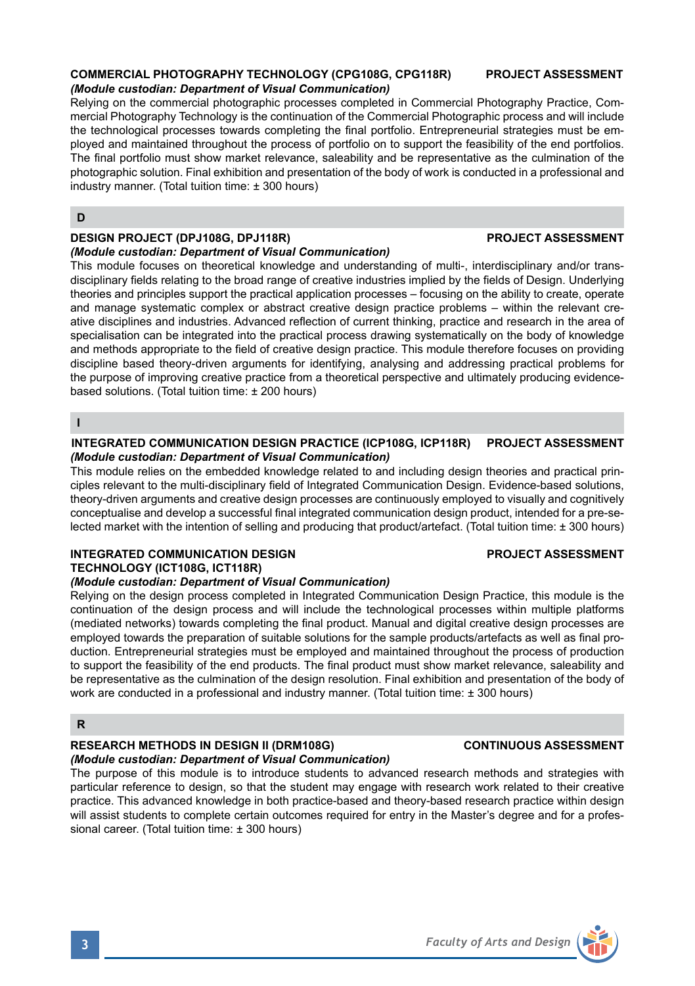## **COMMERCIAL PHOTOGRAPHY TECHNOLOGY (CPG108G, CPG118R) PROJECT ASSESSMENT** *(Module custodian: Department of Visual Communication)*

Relying on the commercial photographic processes completed in Commercial Photography Practice, Commercial Photography Technology is the continuation of the Commercial Photographic process and will include the technological processes towards completing the final portfolio. Entrepreneurial strategies must be employed and maintained throughout the process of portfolio on to support the feasibility of the end portfolios. The final portfolio must show market relevance, saleability and be representative as the culmination of the photographic solution. Final exhibition and presentation of the body of work is conducted in a professional and industry manner. (Total tuition time: ± 300 hours)

# **D**

## **DESIGN PROJECT (DPJ108G, DPJ118R) PROJECT ASSESSMENT**

## *(Module custodian: Department of Visual Communication)*

This module focuses on theoretical knowledge and understanding of multi-, interdisciplinary and/or transdisciplinary fields relating to the broad range of creative industries implied by the fields of Design. Underlying theories and principles support the practical application processes – focusing on the ability to create, operate and manage systematic complex or abstract creative design practice problems – within the relevant creative disciplines and industries. Advanced reflection of current thinking, practice and research in the area of specialisation can be integrated into the practical process drawing systematically on the body of knowledge and methods appropriate to the field of creative design practice. This module therefore focuses on providing discipline based theory-driven arguments for identifying, analysing and addressing practical problems for the purpose of improving creative practice from a theoretical perspective and ultimately producing evidencebased solutions. (Total tuition time: ± 200 hours)

**I**

#### **INTEGRATED COMMUNICATION DESIGN PRACTICE (ICP108G, ICP118R) PROJECT ASSESSMENT** *(Module custodian: Department of Visual Communication)*

This module relies on the embedded knowledge related to and including design theories and practical principles relevant to the multi-disciplinary field of Integrated Communication Design. Evidence-based solutions, theory-driven arguments and creative design processes are continuously employed to visually and cognitively conceptualise and develop a successful final integrated communication design product, intended for a pre-selected market with the intention of selling and producing that product/artefact. (Total tuition time: ± 300 hours)

## **INTEGRATED COMMUNICATION DESIGN PROJECT ASSESSMENT**

## **TECHNOLOGY (ICT108G, ICT118R)**

# *(Module custodian: Department of Visual Communication)*

Relying on the design process completed in Integrated Communication Design Practice, this module is the continuation of the design process and will include the technological processes within multiple platforms (mediated networks) towards completing the final product. Manual and digital creative design processes are employed towards the preparation of suitable solutions for the sample products/artefacts as well as final production. Entrepreneurial strategies must be employed and maintained throughout the process of production to support the feasibility of the end products. The final product must show market relevance, saleability and be representative as the culmination of the design resolution. Final exhibition and presentation of the body of work are conducted in a professional and industry manner. (Total tuition time: ± 300 hours)

# **R**

#### **RESEARCH METHODS IN DESIGN II (DRM108G) CONTINUOUS ASSESSMENT** *(Module custodian: Department of Visual Communication)*

The purpose of this module is to introduce students to advanced research methods and strategies with particular reference to design, so that the student may engage with research work related to their creative practice. This advanced knowledge in both practice-based and theory-based research practice within design will assist students to complete certain outcomes required for entry in the Master's degree and for a professional career. (Total tuition time: ± 300 hours)